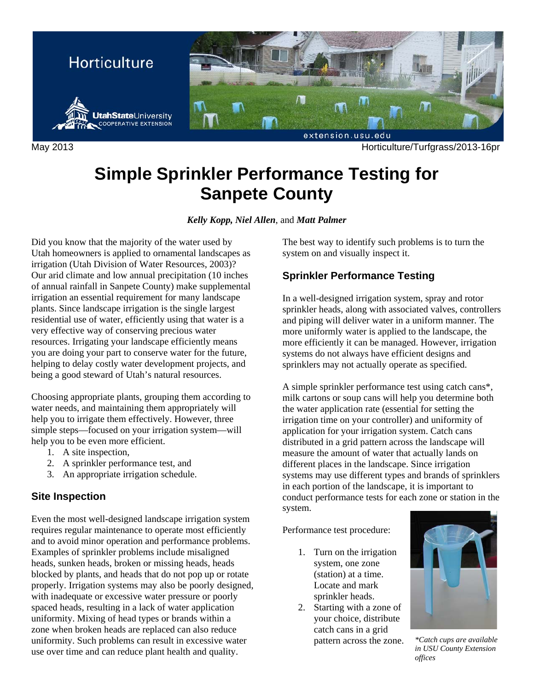

May 2013 Horticulture/Turfgrass/2013-16pr

# **Simple Sprinkler Performance Testing for Sanpete County**

*Kelly Kopp, Niel Allen*, and *Matt Palmer* 

Did you know that the majority of the water used by Utah homeowners is applied to ornamental landscapes as irrigation (Utah Division of Water Resources, 2003)? Our arid climate and low annual precipitation (10 inches of annual rainfall in Sanpete County) make supplemental irrigation an essential requirement for many landscape plants. Since landscape irrigation is the single largest residential use of water, efficiently using that water is a very effective way of conserving precious water resources. Irrigating your landscape efficiently means you are doing your part to conserve water for the future, helping to delay costly water development projects, and being a good steward of Utah's natural resources.

Choosing appropriate plants, grouping them according to water needs, and maintaining them appropriately will help you to irrigate them effectively. However, three simple steps—focused on your irrigation system—will help you to be even more efficient.

- 1. A site inspection,
- 2. A sprinkler performance test, and
- 3. An appropriate irrigation schedule.

## **Site Inspection**

Even the most well-designed landscape irrigation system requires regular maintenance to operate most efficiently and to avoid minor operation and performance problems. Examples of sprinkler problems include misaligned heads, sunken heads, broken or missing heads, heads blocked by plants, and heads that do not pop up or rotate properly. Irrigation systems may also be poorly designed, with inadequate or excessive water pressure or poorly spaced heads, resulting in a lack of water application uniformity. Mixing of head types or brands within a zone when broken heads are replaced can also reduce uniformity. Such problems can result in excessive water use over time and can reduce plant health and quality.

The best way to identify such problems is to turn the system on and visually inspect it.

## **Sprinkler Performance Testing**

In a well-designed irrigation system, spray and rotor sprinkler heads, along with associated valves, controllers and piping will deliver water in a uniform manner. The more uniformly water is applied to the landscape, the more efficiently it can be managed. However, irrigation systems do not always have efficient designs and sprinklers may not actually operate as specified.

A simple sprinkler performance test using catch cans\*, milk cartons or soup cans will help you determine both the water application rate (essential for setting the irrigation time on your controller) and uniformity of application for your irrigation system. Catch cans distributed in a grid pattern across the landscape will measure the amount of water that actually lands on different places in the landscape. Since irrigation systems may use different types and brands of sprinklers in each portion of the landscape, it is important to conduct performance tests for each zone or station in the system.

Performance test procedure:

- 1. Turn on the irrigation system, one zone (station) at a time. Locate and mark sprinkler heads.
- 2. Starting with a zone of your choice, distribute catch cans in a grid pattern across the zone. *\*Catch cups are available*



*in USU County Extension offices*